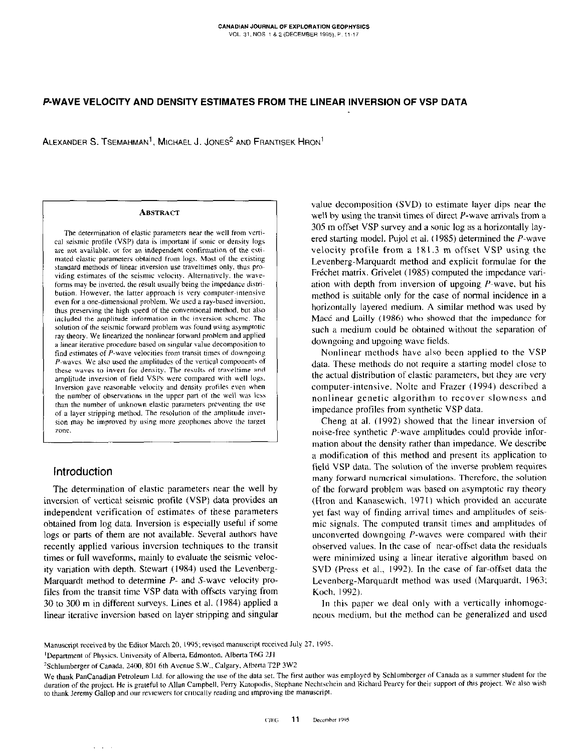# P-WAVE VELOCITY AND DENSITY ESTIMATES FROM THE LINEAR INVERSION OF VSP DATA

ALEXANDER S. TSEMAHMAN<sup>1</sup>, MICHAEL J. JONES<sup>2</sup> AND FRANTISEK HRON<sup>1</sup>

#### **ABSTRACT**

The determination of elastic parameters near the well from vertical seismic profile (VSP) data is important if sonic or density logs are not available, or for an independent confirmation of the estimated elastic parameters obtained from logs. Most of the existing standard methods of linear inversion use traveltimes only, thus providing estimates of the seismic velocity. Alternatively, the waveforms may be inverted, the result usually being the impedance distribution. However, the latter approach is very computer-intensive even for a one-dimensional problem. We used a ray-based inversion, thus preserving the high speed of the conventional method, but also included the amplitude information in the inversion scheme. The solution of the seismic forward problem was found using asymptotic ray theory. We linearized the nonlinear forward problem and applied a linear iterative procedure based on singular value decomposition to find estimates of P-wave velocities from transit times of downgoing P-waves. We also used the amplitudes of the vertical components of these waves to invert for density. The results of traveltime and amplitude inversion of field VSPs were compared with well logs. Inversion gave reasonable velocity and density profiles even when the number of observations in the upper part of the well was less than the number of unknown elastic parameters preventing the use of a layer stripping method. The resolution of the amplitude inversion may be improved by using more geophones above the target **7000** 

## Introduction

The determination of elastic parameters near the well by inversion of vertical seismic profile (VSP) data provides an independent verification of estimates of these parameters obtained from log data. Inversion is especially useful if some logs or parts of them are not available. Several authors have recently applied various inversion techniques to the transit times or full waveforms, mainly to evaluate the seismic velocity variation with depth. Stewart (1984) used the Levenberg-Marquardt method to determine P- and S-wave velocity profiles from the transit time VSP data with offsets varying from 30 to 300 m in different surveys. Lines et al. (1984) applied a linear iterative inversion based on layer stripping and singular

value decomposition (SVD) to estimate layer dips near the well by using the transit times of direct  $P$ -wave arrivals from a 305 m offset VSP survey and a sonic log as a horizontally layered starting model. Pujol et al. (1985) determined the P-wave velocity profile from a 181.3 m offset VSP using the Levenberg-Marquardt method and explicit formulae for the Fréchet matrix. Grivelet (1985) computed the impedance variation with depth from inversion of upgoing  $P$ -wave, but his method is suitable only for the case of normal incidence in a horizontally layered medium. A similar method was used by Macé and Lailly (1986) who showed that the impedance for such a medium could be obtained without the separation of downgoing and upgoing wave fields.

Nonlinear methods have also been applied to the VSP data. These methods do not require a starting model close to the actual distribution of elastic parameters, but they are very computer-intensive. Nolte and Frazer (1994) described a nonlinear genetic algorithm to recover slowness and impedance profiles from synthetic VSP data.

Cheng at al. (1992) showed that the linear inversion of noise-free synthetic P-wave amplitudes could provide information about the density rather than impedance. We describe a modification of this method and present its application to field VSP data. The solution of the inverse problem requires many forward numerical simulations. Therefore, the solution of the forward problem was based on asymptotic ray theory (Hron and Kanasewich, 1971) which provided an accurate yet fast way of finding arrival times and amplitudes of seismic signals. The computed transit times and amplitudes of unconverted downgoing  $P$ -waves were compared with their observed values. In the case of near-offset data the residuals were minimized using a linear iterative algorithm based on SVD (Press et al., 1992). In the case of far-offset data the Levenberg-Marquardt method was used (Marquardt, 1963; Koch, 1992).

In this paper we deal only with a vertically inhomogeneous medium, but the method can be generalized and used

Manuscript received by the Editor March 20, 1995; revised manuscript received July 27, 1995.

<sup>&</sup>lt;sup>1</sup>Denartment of Physics, University of Alberta, Edmonton, Alberta T6G 2J1

<sup>&</sup>lt;sup>2</sup>Schlumberger of Canada, 2400, 801 6th Avenue S.W., Calgary, Alberta T2P 3W2

We thank PanCanadian Petroleum Ltd. for allowing the use of the data set. The first author was employed by Schlumberger of Canada as a summer student for the duration of the project. He is grateful to Allan Campbell, Perry Katopodis, Stephane Nechtschein and Richard Pearcy for their support of this project. We also wish to thank Jeremy Gallop and our reviewers for critically reading and improving the manuscript.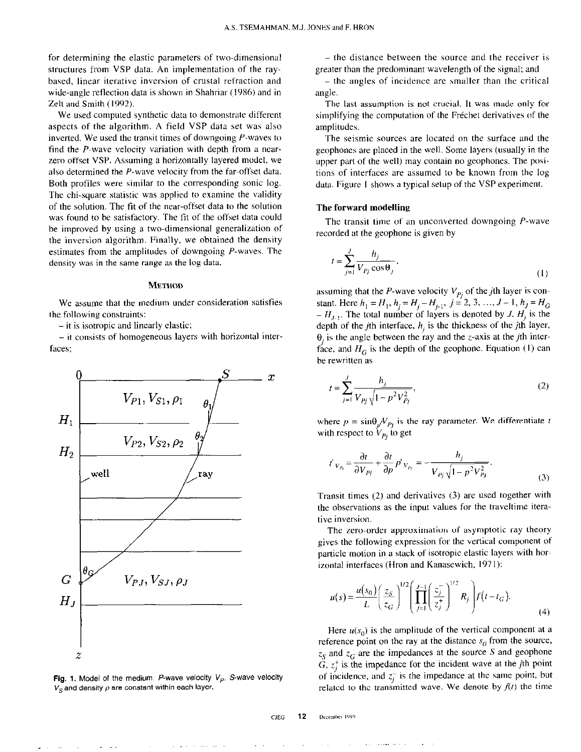for determining the elastic parameters of two-dimensional structures from VSP data. An implementation of the raybased, linear iterative inversion of crustal refraction and wide-angle reflection data is shown in Shahriar (1986) and in Zelt and Smith (1992).

We used computed synthetic data to demonstrate different aspects of the algorithm. A field VSP data set was also inverted. We used the transit times of downgoing P-waves to find the  $P$ -wave velocity variation with depth from a nearzero offset VSP. Assuming a horizontally layered model, we also determined the P-wave velocity from the far-offset data. Both profiles were similar to the corresponding sonic log. The chi-square statistic was applied to examine the validity of the solution. The fit of the near-offset data to the solution was found to be satisfactory. The fit of the offset data could be improved by using a two-dimensional generalization of the inversion algorithm. Finally, we obtained the density estimates from the amplitudes of downgoing P-waves. The density was in the same range as the log data.

#### METHOD

We assume that the medium under consideration satisfies the following constraints:

-it is isotropic and linearly elastic;

- it consists of homogeneous layers with horizontal interfaces:



Fig. 1. Model of the medium. P-wave velocity  $V_p$ , S-wave velocity  $V_S$  and density  $\rho$  are constant within each layer.

- the distance between the source and the receiver is greater than the predominant wavelength of the signal; and

– the angles of incidence are smaller than the critical angle.

The last assumption is not crucial. It was made only for simplifying the computation of the Fréchet derivatives of the amplitudes.

The seismic sources are located on the surface and the geophones are placed in the well. Some layers (usually in the upper part of the well) may contain no geophones. The positions of interfaces are assumed to be known from the log data. Figure I shows a typical setup of the VSP experiment.

### The forward modelling

The transit time of an unconverted downgoing P-wave recorded at the geophone is given by

$$
t = \sum_{j=1}^{J} \frac{h_j}{V_{Pj} \cos \theta_j},
$$
 (1)

assuming that the P-wave velocity  $V_{Pj}$  of the *j*th layer is constant. Here  $h_1=H_1$ ,  $h_j=H_j-H_{j-1}$ ,  $j=2,3, ..., J-1$ ,  $h_j=H_G$  $-H_{J-1}$ . The total number of layers is denoted by J,  $H_i$  is the depth of the *j*th interface,  $h_i$  is the thickness of the *j*th layer,  $\theta_i$  is the angle between the ray and the z-axis at the *j*th interface, and  $H_G$  is the depth of the geophone. Equation (1) can be rewritten as

$$
t = \sum_{j=1}^{J} \frac{h_j}{V_{Pj} \sqrt{1 - p^2 V_{Pj}^2}},
$$
 (2)

where  $p = \sin{\theta_i/V_{P_i}}$  is the ray parameter. We differentiate t with respect to  $V_{pi}$  to get

$$
t'_{V_{p_i}} = \frac{\partial t}{\partial V_{p_i}} + \frac{\partial t}{\partial p} p'_{V_{p_i}} = -\frac{h_j}{V_{p_j}\sqrt{1 - p^2 V_{p_j}^2}}.
$$
\n(3)

Transit times (2) and derivatives (3) are used together with the observations as the input values for the traveltime item tive inversion.

The zero-order approximation of asymptotic ray theory gives the following expression for the vertical component of particle motion in a stack of isotropic elastic layers with herizontal interfaces (Hron and Kanasewich, 1971):

$$
u(s) = \frac{u(s_0)}{L} \left(\frac{z_S}{z_G}\right)^{1/2} \left(\prod_{j=1}^{J-1} \left(\frac{z_j^*}{z_j^*}\right)^{1/2} R_j\right) f(t - t_G).
$$
\n(4)

Here  $u(s_0)$  is the amplitude of the vertical component at a reference point on the ray at the distance  $s_0$  from the source,  $z_S$  and  $z_G$  are the impedances at the source S and geophone  $G, z_i^+$  is the impedance for the incident wave at the jth point of incidence, and  $z_i^-$  is the impedance at the same point, but related to the transmitted wave. We denote by  $f(t)$  the time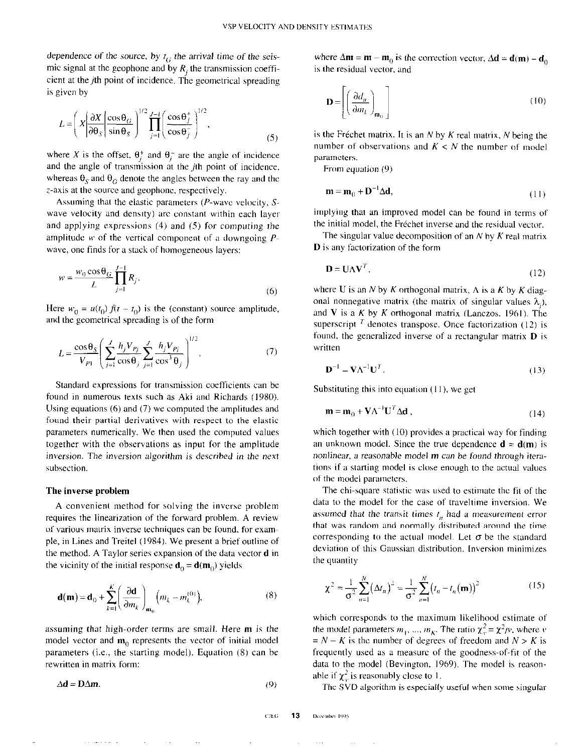dependence of the source, by  $t_G$  the arrival time of the seismic signal at the geophone and by  $R_i$ , the transmission coefficient at the  $j$ th point of incidence. The geometrical spreading is given by

$$
L = \left(X\left|\frac{\partial X}{\partial \theta_S}\right|\frac{\cos \theta_G}{\sin \theta_S}\right)^{1/2} \prod_{j=1}^{J-1} \left(\frac{\cos \theta_j^+}{\cos \theta_j^-}\right)^{1/2},\tag{5}
$$

where X is the offset,  $\theta_i^+$  and  $\theta_i^-$  are the angle of incidence and the angle of transmission at the  $j$ th point of incidence, whereas  $\theta_s$  and  $\theta_G$  denote the angles between the ray and the z-axis at the source and geophone, respectively.

Assuming that the elastic parameters (P-wave velocity, Swave velocity and density) are constant within each layer and applying expressions (4) and (5) for computing the amplitude  $w$  of the vertical component of a downgoing  $P$ wave, one finds for a stack of homogeneous layers:

$$
w = \frac{w_0 \cos \theta_G}{L} \prod_{j=1}^{J-1} R_j.
$$
 (6)

Here  $w_0 = u(t_0) f(t - t_0)$  is the (constant) source amplitude, and the geometrical spreading is of the form

$$
L = \frac{\cos \theta_S}{V_{p_1}} \left( \sum_{j=1}^{J} \frac{h_j V_{p_j}}{\cos \theta_j} \sum_{j=1}^{J} \frac{h_j V_{p_j}}{\cos^3 \theta_j} \right)^{1/2}.
$$
 (7)

Standard expressions for transmission coefficients can be found in numerous texts such as Aki and Richards (1980). Using equations (6) and (7) we computed the amplitudes and found their partial derivatives with respect to the elastic parameters numerically. We then used the computed values together with the observations as input for the amplitude inversion. The inversion algorithm is described in the next subsection.

#### The inverse problem

A convenient method for solving the inverse problem requires the linearization of the forward problem. A review of various matrix inverse techniques can be found, for exampie, in Lines and Treitel (1984). We present a brief outline of the method. A Taylor series expansion of the data vector d in the vicinity of the initial response  $\mathbf{d}_0 = \mathbf{d}(\mathbf{m}_0)$  yields

$$
\mathbf{d}(\mathbf{m}) = \mathbf{d}_0 + \sum_{k=1}^K \left(\frac{\partial \mathbf{d}}{\partial m_k}\right)_{\mathbf{m}_0} \left(m_k - m_k^{(0)}\right),\tag{8}
$$

assuming that high-order terms are small. Here  $m$  is the model vector and  $m_0$  represents the vector of initial model parameters (i.e., the starting model). Equation (8) can be rewritten in matrix form:

 $\Delta d = D \Delta m,$  (9)

where  $\Delta \mathbf{m} = \mathbf{m} - \mathbf{m}_0$  is the correction vector,  $\Delta \mathbf{d} = \mathbf{d}(\mathbf{m}) - \mathbf{d}_0$ is the residual vector. and

$$
\mathbf{D} = \left[ \left( \frac{\partial d_n}{\partial m_k} \right)_{\mathbf{m}_0} \right] \tag{10}
$$

is the Fréchet matrix. It is an  $N$  by  $K$  real matrix,  $N$  being the number of observations and  $K < N$  the number of model parameters.

From equation (9)

$$
\mathbf{m} = \mathbf{m}_0 + \mathbf{D}^{-1} \Delta \mathbf{d},\tag{11}
$$

implying that an improved model can be found in terms of the initial model, the Fréchet inverse and the residual vector.

The singular value decomposition of an  $N$  by  $K$  real matrix D is any factorization of the form

$$
\mathbf{D} = \mathbf{U}\mathbf{\Lambda}\mathbf{V}^T,\tag{12}
$$

where U is an N by K orthogonal matrix,  $\Lambda$  is a K by K diagonal nonnegative matrix (the matrix of singular values  $\lambda_i$ ), and V is a K by K orthogonal matrix (Lanczos, 1961). The superscript  $<sup>T</sup>$  denotes transpose. Once factorization (12) is</sup> found, the generalized inverse of a rectangular matrix  $\bf{D}$  is written

$$
\mathbf{D}^{-1} = \mathbf{V} \boldsymbol{\Lambda}^{-1} \mathbf{U}^T. \tag{13}
$$

Substituting this into equation (11), we get

$$
\mathbf{m} = \mathbf{m}_0 + \mathbf{V} \boldsymbol{\Lambda}^{-1} \mathbf{U}^T \boldsymbol{\Delta} \mathbf{d} \,,\tag{14}
$$

which together with (10) provides a practical way for finding an unknown model. Since the true dependence  $\mathbf{d} = \mathbf{d}(\mathbf{m})$  is nonlinear, a reasonable model m can be found through iterations if a starting model is close enough to the actual values of the model parameters.

The chi-square statistic was used to estimate the fit of the data to the model for the case of traveltime inversion. We assumed that the transit times  $t_n$  had a measurement error that was random and normally distributed around the time corresponding to the actual model. Let  $\sigma$  be the standard deviation of this Gaussian distribution. Inversion minimizes the quantity

$$
\chi^2 = \frac{1}{\sigma^2} \sum_{n=1}^{N} (\Delta t_n)^2 = \frac{1}{\sigma^2} \sum_{n=1}^{N} (t_n - t_n(\mathbf{m}))^2
$$
 (15)

which corresponds to the maximum likelihood estimate of the model parameters  $m_1, ..., m_K$ . The ratio  $\chi^2 = \chi^2/v$ , where  $v$  $N - K$  is the number of degrees of freedom and  $N > K$  is frequently used as a measure of the goodness-of-fit of the data to the model (Bevington, 1969). The model is reasonable if  $\chi^2$  is reasonably close to 1.

The SVD algorithm is especially useful when some singular

$$
CIEG = 13
$$
 December 1995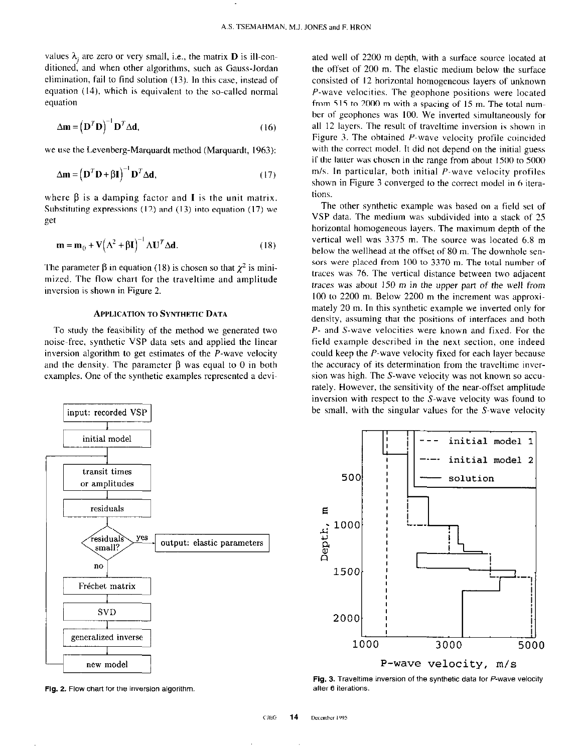values  $\lambda_i$  are zero or very small, i.e., the matrix **D** is ill-conditioned, and when other algorithms, such as Gauss-Jordan elimination, fail to find solution (13). In this case, instead of equation (14), which is equivalent to the so-called normal equation

$$
\Delta \mathbf{m} = (\mathbf{D}^T \mathbf{D})^{-1} \mathbf{D}^T \Delta \mathbf{d},\tag{16}
$$

we use the Levenberg-Marquardt method (Marquardt, 1963):

$$
\Delta \mathbf{m} = (\mathbf{D}^T \mathbf{D} + \beta \mathbf{I})^{-1} \mathbf{D}^T \Delta \mathbf{d},\tag{17}
$$

where  $\beta$  is a damping factor and **I** is the unit matrix. Substituting expressions  $(12)$  and  $(13)$  into equation  $(17)$  we get

$$
\mathbf{m} = \mathbf{m}_0 + \mathbf{V} \left( \mathbf{\Lambda}^2 + \mathbf{\beta} \mathbf{I} \right)^{-1} \mathbf{\Lambda} \mathbf{U}^T \mathbf{\Delta} \mathbf{d}.
$$
 (18)

The parameter  $\beta$  in equation (18) is chosen so that  $\chi^2$  is minimired. The flow chart for the traveltime and amplitude inversion is shown in Figure 2.

### **APPLICATION TO SYNTHETIC DATA**

To study the feasibility of the method we generated two noise-free, synthetic VSP data sets and applied the linear inversion algorithm to get estimates of the P-wave velocity and the density. The parameter  $\beta$  was equal to 0 in both examples. One of the synthetic examples represented a devi-



Fig. 2. Flow chart for the inversion algorithm.

ated well of 2200 m depth, with a surface source located at the offset of 200 m. The elastic medium below the surface consisted of I2 horizontal homogeneous layers of unknown P-wave velocities. The geophone positions were located from 515 to 2000 m with a spacing of IS m. The total number of geophones was 100. We inverted simultaneously for all 12 layers. The result of traveltime inversion is shown in Figure 3. The obtained P-wave velocity profile coincided with the correct model. It did not depend on the initial guess if the latter was chosen in the range from about 1500 to 5000  $m/s$ . In particular, both initial  $P$ -wave velocity profiles shown in Figure 3 converged to the correct model in 6 iterations.

The other synthetic example was based on a field set of VSP data. The medium was subdivided into a stack of 25 horizontal homogeneous layers. The maximum depth of the vertical well was 3375 m. The source was located 6.8 m below the wellhead at the offset of 80 m. The downhole sensors were placed from 100 to 3370 m. The total number of traces was 76. The vertical distance between two adjacent traces was about 150 m in the upper part of the well from  $100$  to  $2200$  m. Below  $2200$  m the increment was approximately 20 m. In this synthetic example we inverted only for density, assuming that the positions of interfaces and both P- and S-wave velocities were known and fixed. For the field example described in the next section, one indeed could keep the P-wave velocity fixed for each layer because the accuracy of its determination from the traveltime inversion was high. The S-wave velocity was not known so accurately. However, the sensitivity of the near-offset amplitude inversion with respect to the S-wave velocity was found to be small, with the singular values for the S-wave velocity



Fig. 3. Traveltime inversion of the synthetic data for P-wave velocity afier 6 iterations.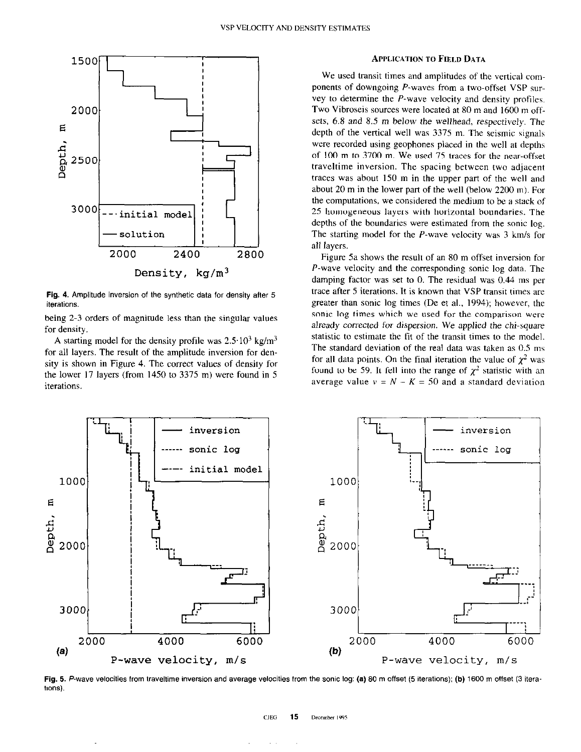

Fig. 4. Amplitude inversion of the synthetic data for density after 5 iterations.

being 2-3 orders of magnitude less than the singular values for density.

A starting model for the density profile was  $2.5 \cdot 10^3$  kg/m<sup>3</sup> for all layers. The result of the amplitude inversion for density is shown in Figure 4. The correct values of density for the lower 17 layers (from 1450 to 3375 m) were found in 5 iterations

### APPLICATION TO FIELD DATA

We used transit times and amplitudes of the vertical components of downgoing  $P$ -waves from a two-offset VSP survey to determine the P-wave velocity and density profiles. Two Vibroseis sources were located at 80 m and 1600 m offsets, 6.8 and 8.5 m below the wellhead, respectively. The depth of the vertical well was 3375 m. The seismic signals were recorded using geophones placed in the well at depths of 100 m to 3700 m. We used 75 traces for the near-offset traveltime inversion. The spacing between two adjacent traces was about 150 m in the upper part of the well and about 20 m in the lower part of the well (below 2200 m). For the computations, we considered the medium to be a stack of 25 homogeneous layers with horizontal boundaries. The depths of the boundaries were estimated from the sonic log. The starting model for the  $P$ -wave velocity was 3 km/s for all layers.

Figure 5a shows the result of an SO m offset inversion for P-wave velocity and the corresponding sonic log data. The damping factor was set to 0. The residual was 0.44 ms per trace after 5 iterations. It is known that VSP transit times are greater than sonic log times (De et al., 1994); however, the sonic log times which we used for the comparison were already corrected for dispersion. We applied the chi-square statistic to estimate the fit of the transit times to the model. The standard deviation of the real data was taken as 0.5 ms for all data points. On the final iteration the value of  $\chi^2$  was found to be 59. It fell into the range of  $\chi^2$  statistic with an average value  $v = N - K = 50$  and a standard deviation



Fig. 5. P-wave velocities from traveltime inversion and average velocities from the sonic log: (a) 80 m offset (5 iterations); (b) 1600 m offset (3 iterations).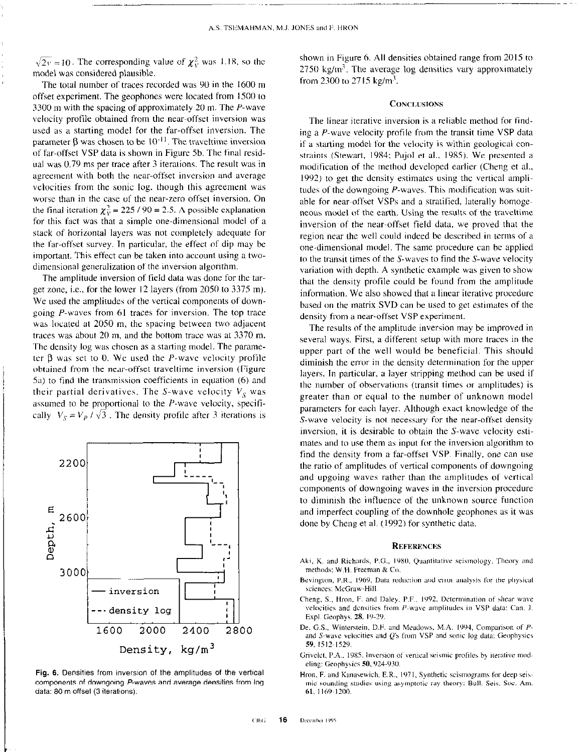$\sqrt{2v}$  = 10. The corresponding value of  $\chi^2_v$  was 1.18, so the model was considered plausible.

The total number of traces recorded was 90 in the 1600 m offset experiment. The geophones were located from 1500 to 3300 m with the spacing of approximately 20 m. The P-wave velocity profile obtained from the near-offset inversion was used as a starting model for the far-offset inversion. The parameter  $\beta$  was chosen to be  $10^{-11}$ . The traveltime inversion of far-offset VSP data is shown in Figure 5b. The final residual was 0.79 ms per trace after 3 iterations. The result was in agreement with both the near-offset inversion and average velocities from the sonic log. though this agreement was worse than in the case of the near-zero offset inversion. On the final iteration  $\chi^2_v = 225 / 90 = 2.5$ . A possible explanation for this fact was that a simple one-dimensional model of a stack of horizontal layers was not completely adequate for the far-offset survey. In particular, the effect of dip may be important. This effect can be taken into account using a twodimensional generalization of the inversion algorithm.

The amplitude inversion of field data was done for the target zone, i.e., for the lower 12 layers (from 2050 to 3375 m). We used the amplitudes of the vertical components of downgoing P-waves from 61 traces for inversion. The top trace was located at 2050 m, the spacing between two adjacent traces was about  $20 \text{ m}$ , and the bottom trace was at  $3370 \text{ m}$ . The density log was chosen as a starting model. The parameter  $\beta$  was set to 0. We used the P-wave velocity profile obtained from the near-offset traveltime inversion (Figure 5a) to find the transmission coefficients in equation (6) and their partial derivatives. The S-wave velocity  $V_s$  was assumed to be proportional to the P-wave velocity, specifi cally  $V_s = V_p / \sqrt{3}$ . The density profile after 3 iterations is



Fig. 6. Densities from inversion of the amplitudes of the vertical components of downgoing P-waves and average densities from log data: 80 m offset (3 iterations).

L

shown in Figure 6. All densities obtained range from 2015 to 2750 kg/ $m<sup>3</sup>$ . The average log densities vary approximately from 2300 to 2715 kg/m<sup>3</sup>.

## **CONCLUSIONS**

The linear iterative inversion is a reliable method for finding a P-wave velocity profile from the transit time VSP data if a starting model for the velocity is within geological constraints (Stewart, 1984; Pujol et al., 1985). We presented a modification of the method developed earlier (Cheng et al., 1992) to get the density estimates using the vertical amplitudes of the downgoing P-waves. This modification was suitable for near-offset VSPs and a stratified, laterally homogeneous model of the earth. Using the results of the traveltime inversion of the near-offset field date, we proved that the region near the well could indeed be described in terms of a one-dimensional model. The same procedure can be applied to the transit times of the S-waves to find the S-wave velocity variation with depth. A synthetic example was given to show that the density profile could be found from the amplitude information. We also showed that a linear iterative procedure based on the matrix SVD can be used to get estimates of the density from a near-offset VSP experiment.

The results of the amplitude inversion may be improved in several ways. First, a different setup with more traces in the upper part of the well would be beneficial. This should diminish the error in the density determination for the upper layers. In particular, a layer stripping method can be used if the number of observations (transit times or amplitudes) is greater than or equal to the number of unknown model parameters for each layer. Although exact knowledge of the S-wave velocity is not necessary for the near-offset density inversion, it is desirable to obtain the S-wave velocity estimates and to use them as input for the inversion algorithm to find the density from a far-offset VSP. Finally, one can use the ratio of amplitudes of vertical components of downgoing and upgoing waves rather than the amplitudes of vertical components of downgoing waves in the inversion procedure to diminish the influence of the unknown source function and imperfect coupling of the downhole geophones as it was done by Cheng et al. (1992) for synthetic data.

#### **REFERENCES**

- 
- 
- Cheng, S., Hron, F. and Daley. P.F., 1992. Determination of shear wave velocities and densities from  $P$ -wave amplitudes in VSP data: Can. J. Expl. Geophys. 28, 19-29.
- De, G.S., Winterstein, D.F. and Meadows, M.A. 1994, Comparison of Pand S-wave velocities and  $Q$ 's from VSP and sonic log data: Geophysics 59, 1S1?~1520.
- Grivelet, P.A., 1985. Inversion of vertical seismic profiles by iterative modeling: Geophysics 50, 924-930.
- Hron, F. and Kanasewich, E.R., 1971, Synthetic scismograms for deep seismic sounding studies using asymptotic ray theory: Bull. Seis. Soc. Am. 61, 1169-1200